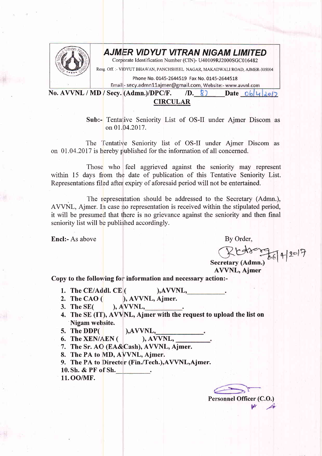

## AJMER VIDYUT VITRAN NIGAM LIMITED

Corporate Identification Number (CIN)- U40109RJ2000SGC016482

Resg Off. :- VIDYUT BHAWAN, PANCHSHEEL NAGAR, MAKADWALI ROAD, AJMER-305004

Phone No. 0145-2644519 Fax No. 0145-2644518

Email - secy.admn11ajmer@gmail.com, Website:- www.avvnl.com<br>No. AVVNL / MD / Secy. (Admn.)/DPC/F. /D. 8) Date 06 4 2017

## CIRCULAR

Sub:- Tentative Seniority List of OS-II under Ajmer Discom as on 01 .04.2017.

The Tentative Seniority list of OS-II under Ajmer Discom as on 01.04.2017 is hereby published for the information of all concerned.

Those who feel aggrieved against the seniority may represent within 15 days from the date of publication of this Tentative Seniority List. Representations filed after expiry of aforesaid period will not be entertained.

The representation should be addressed to the Secretary (Admn.), AVVNL, Ajmer. In case no representation is received within the stipulated period, it will be presumed that there is no grievance against the seniority and then final seniority list will be published accordingly.

Encl:- As above By Order,

GlU<Y"Aflr-r?

Secretary (Admn.) AWNL, Ajmer

Copy to the following for information and necessary action:-

- 1. The CE/Addl. CE ( ),AVVNL,
- The CAO ( ), AWNL, Ajmer. 2. The CAO  $($
- $AVVNL$ , 3. The SE(
- The SE (IT), AW'NL, Ajmer with the request to upload the list on 4. Nigam website.
- 5. The DDP( $\bigcup_{\text{6. The XEN}/\text{AEN}}$ ), AVVNL,
- 6. The XEN/AEN  $($
- 1. The Sr. AO (EA&Cash), AWNL, Ajmer.
- 8. The PA to MD, AVVNL, Ajmer.

9. The PA to Director (Fin./Tech.), AVVNL, Ajmer.

- 10. Sh. & PF of Sh.
- 11. OO/MF.

Personnel Officer (C.O.)  $M$   $A$